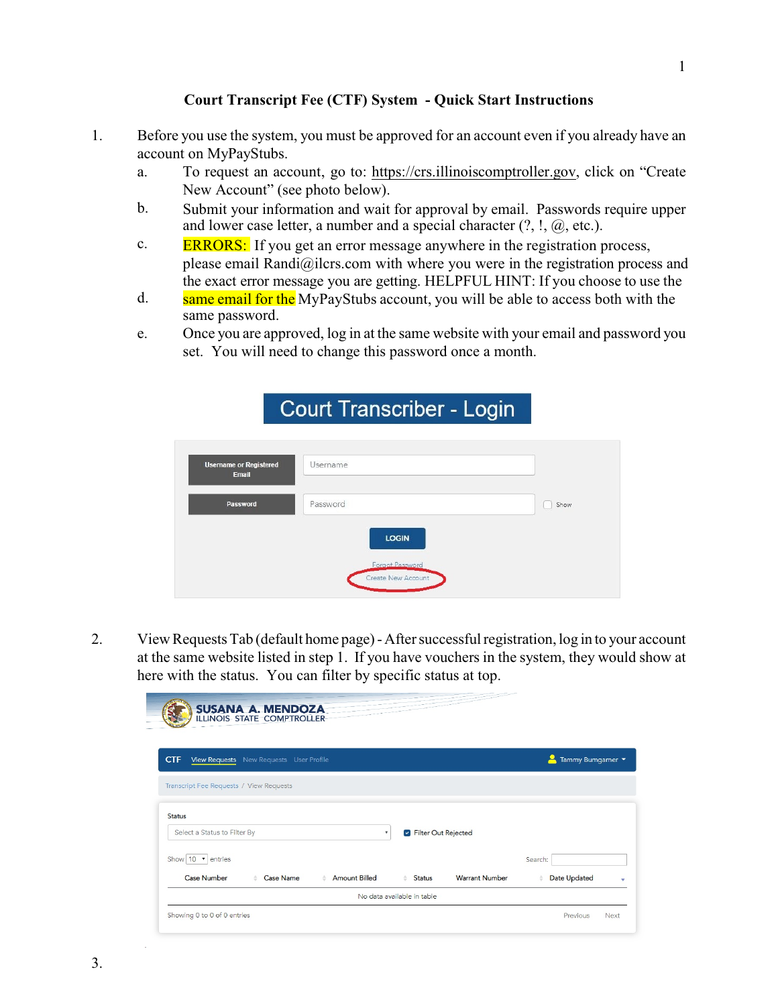#### **Court Transcript Fee (CTF) System - Quick Start Instructions**

- 1. Before you use the system, you must be approved for an account even if you already have an account on MyPayStubs.
	- a. To request an account, go to: [https://crs.illinoiscomptroller.gov, cl](https://crs.illinoiscomptroller.gov)ick on "Create New Account" (see photo below).
	- b. Submit your information and wait for approval by email. Passwords require upper and lower case letter, a number and a special character  $(?, \cdot, \omega, \text{ etc.}).$
	- c. ERRORS: If you get an error message anywhere in the registration process, please email Randi@ilcrs.com with where you were in the registration process and the exact error message you are getting. HELPFUL HINT: If you choose to use the
	- d. same email for the MyPayStubs account, you will be able to access both with the same password.
	- e. Once you are approved, log in at the same website with your email and password you set. You will need to change this password once a month.

| <b>Username or Registered</b><br><b>Email</b> | Username     |      |
|-----------------------------------------------|--------------|------|
| Password                                      | Password     | Show |
|                                               | <b>LOGIN</b> |      |

2. View Requests Tab (default home page) - After successful registration, log in to your account at the same website listed in step 1. If you have vouchers in the system, they would show at here with the status. You can filter by specific status at top.

| <b>CTF</b><br>View Requests New Requests User Profile   |                              | Tammy Bumgarner |
|---------------------------------------------------------|------------------------------|-----------------|
| Transcript Fee Requests / View Requests                 |                              |                 |
| <b>Status</b>                                           |                              |                 |
| Select a Status to Filter By<br>$\overline{\mathbf{v}}$ | <b>P</b> Filter Out Rejected |                 |
|                                                         |                              |                 |
| Show $10 \cdot \text{entries}$                          |                              | Search:         |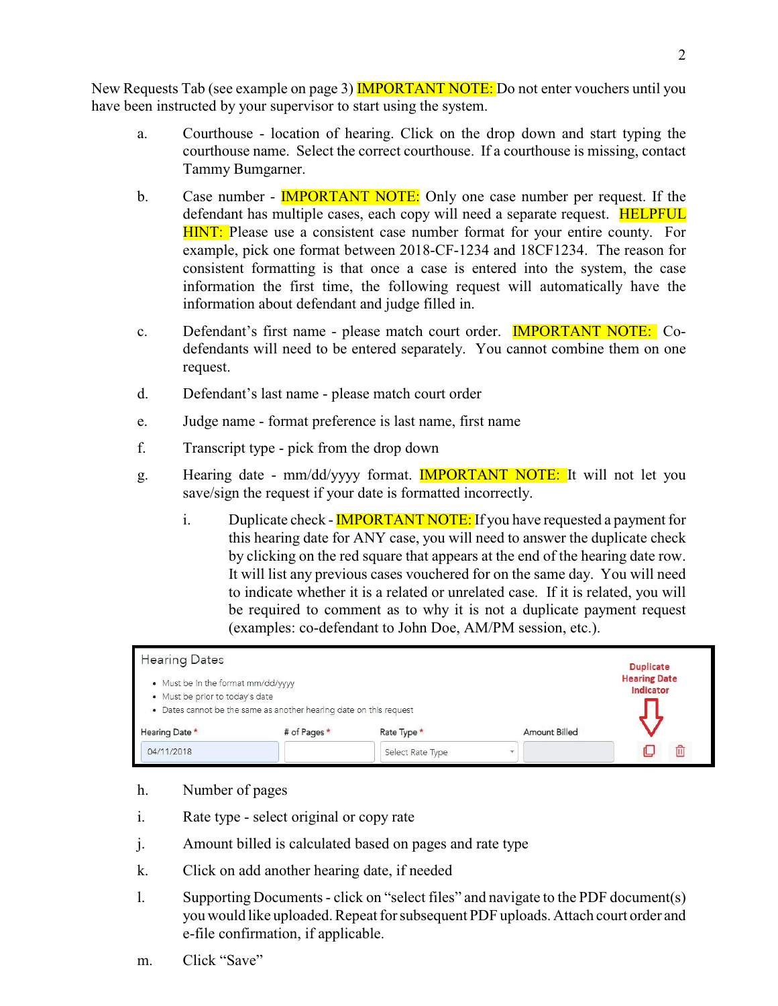New Requests Tab (see example on page 3) **IMPORTANT NOTE:** Do not enter vouchers until you have been instructed by your supervisor to start using the system.

- a. Courthouse location of hearing. Click on the drop down and start typing the courthouse name. Select the correct courthouse. If a courthouse is missing, contact Tammy Bumgarner.
- b. Case number **IMPORTANT NOTE:** Only one case number per request. If the defendant has multiple cases, each copy will need a separate request. **HELPFUL** HINT: Please use a consistent case number format for your entire county. For example, pick one format between 2018-CF-1234 and 18CF1234. The reason for consistent formatting is that once a case is entered into the system, the case information the first time, the following request will automatically have the information about defendant and judge filled in.
- c. Defendant's first name please match court order. IMPORTANT NOTE: Codefendants will need to be entered separately. You cannot combine them on one request.
- d. Defendant's last name please match court order
- e. Judge name format preference is last name, first name
- f. Transcript type pick from the drop down
- g. Hearing date mm/dd/yyyy format. IMPORTANT NOTE: It will not let you save/sign the request if your date is formatted incorrectly.
	- i. Duplicate check **IMPORTANT NOTE:** If you have requested a payment for this hearing date for ANY case, you will need to answer the duplicate check by clicking on the red square that appears at the end of the hearing date row. It will list any previous cases vouchered for on the same day. You will need to indicate whether it is a related or unrelated case. If it is related, you will be required to comment as to why it is not a duplicate payment request (examples: co-defendant to John Doe, AM/PM session, etc.).

| <b>Hearing Dates</b>                                                                                                                        |                                  |                  |                      | <b>Duplicate</b> |
|---------------------------------------------------------------------------------------------------------------------------------------------|----------------------------------|------------------|----------------------|------------------|
| • Must be in the format mm/dd/yyyy<br>· Must be prior to today's date<br>• Dates cannot be the same as another hearing date on this request | <b>Hearing Date</b><br>Indicator |                  |                      |                  |
| Hearing Date *                                                                                                                              | # of Pages *                     | Rate Type *      | <b>Amount Billed</b> |                  |
| 04/11/2018                                                                                                                                  |                                  | Select Rate Type | $\rightarrow$        | 冊                |

- h. Number of pages
- i. Rate type select original or copy rate
- j. Amount billed is calculated based on pages and rate type
- k. Click on add another hearing date, if needed
- l. Supporting Documents click on "select files" and navigate to the PDF document(s) you would like uploaded. Repeat for subsequent PDF uploads. Attach court order and e-file confirmation, if applicable.
- m. Click "Save"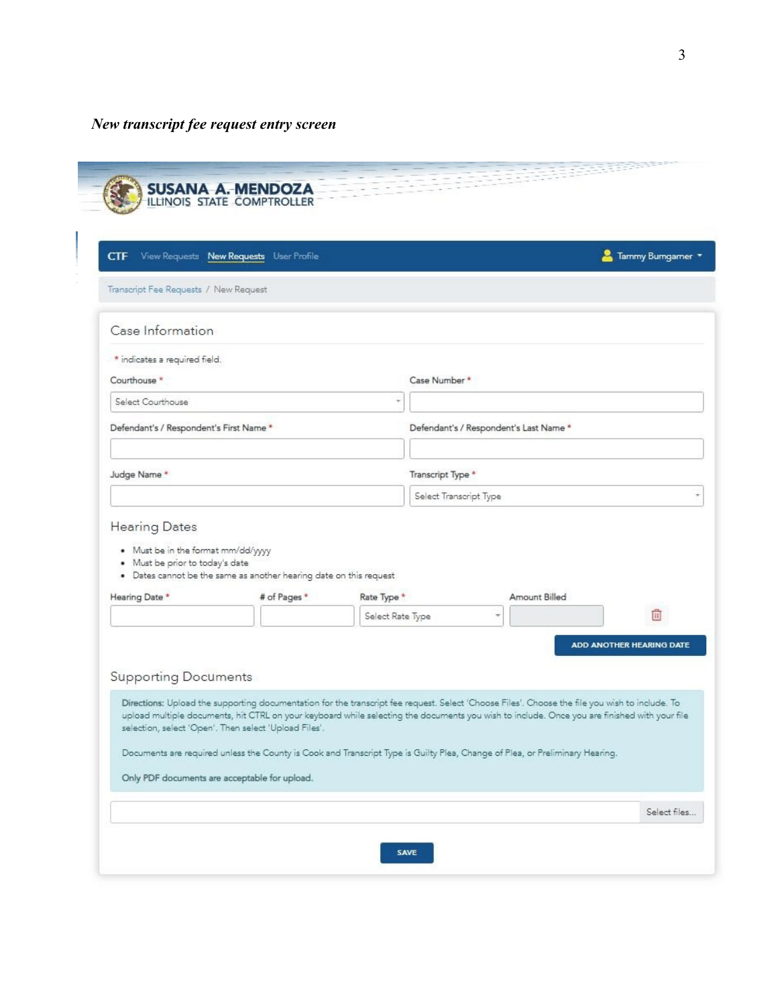# *New transcript fee request entry screen*

| Transcript Fee Requests / New Request             |                                                                                                                                                                                                                                                                                                                                                                                                                                                                                         |                  |                                        |               |                          |
|---------------------------------------------------|-----------------------------------------------------------------------------------------------------------------------------------------------------------------------------------------------------------------------------------------------------------------------------------------------------------------------------------------------------------------------------------------------------------------------------------------------------------------------------------------|------------------|----------------------------------------|---------------|--------------------------|
|                                                   |                                                                                                                                                                                                                                                                                                                                                                                                                                                                                         |                  |                                        |               |                          |
| Case Information                                  |                                                                                                                                                                                                                                                                                                                                                                                                                                                                                         |                  |                                        |               |                          |
| * indicates a required field.                     |                                                                                                                                                                                                                                                                                                                                                                                                                                                                                         |                  |                                        |               |                          |
| Courthouse *                                      |                                                                                                                                                                                                                                                                                                                                                                                                                                                                                         |                  | Case Number*                           |               |                          |
| Select Courthouse                                 |                                                                                                                                                                                                                                                                                                                                                                                                                                                                                         |                  |                                        |               |                          |
| Defendant's / Respondent's First Name *           |                                                                                                                                                                                                                                                                                                                                                                                                                                                                                         |                  | Defendant's / Respondent's Last Name * |               |                          |
| Judge Name*                                       |                                                                                                                                                                                                                                                                                                                                                                                                                                                                                         |                  | Transcript Type *                      |               |                          |
|                                                   |                                                                                                                                                                                                                                                                                                                                                                                                                                                                                         |                  | Select Transcript Type                 |               |                          |
| · Must be prior to today's date<br>Hearing Date * | . Dates cannot be the same as another hearing date on this request<br># of Pages *                                                                                                                                                                                                                                                                                                                                                                                                      | Rate Type *      |                                        | Amount Billed |                          |
|                                                   |                                                                                                                                                                                                                                                                                                                                                                                                                                                                                         | Select Rate Type |                                        |               | 面                        |
| <b>Supporting Documents</b>                       |                                                                                                                                                                                                                                                                                                                                                                                                                                                                                         |                  |                                        |               | ADD ANOTHER HEARING DATE |
|                                                   |                                                                                                                                                                                                                                                                                                                                                                                                                                                                                         |                  |                                        |               |                          |
| Only PDF documents are acceptable for upload.     | Directions: Upload the supporting documentation for the transcript fee request. Select 'Choose Files'. Choose the file you wish to include. To<br>upload multiple documents, hit CTRL on your keyboard while selecting the documents you wish to include. Once you are finished with your file<br>selection, select 'Open'. Then select 'Upload Files'.<br>Documents are required unless the County is Cook and Transcript Type is Guilty Plea, Change of Plea, or Preliminary Hearing. |                  |                                        |               |                          |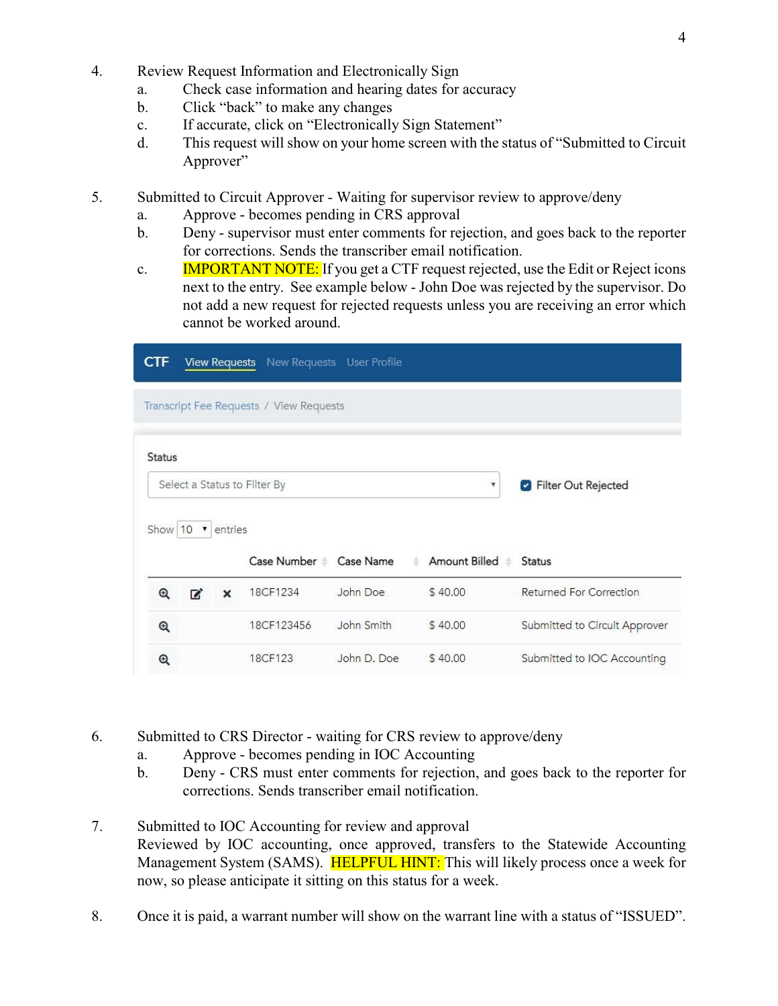- 4. Review Request Information and Electronically Sign
	- a. Check case information and hearing dates for accuracy
	- b. Click "back" to make any changes
	- c. If accurate, click on "Electronically Sign Statement"
	- d. This request will show on your home screen with the status of "Submitted to Circuit Approver"
- 5. Submitted to Circuit Approver Waiting for supervisor review to approve/deny
	- a. Approve becomes pending in CRS approval
	- b. Deny supervisor must enter comments for rejection, and goes back to the reporter for corrections. Sends the transcriber email notification.
	- c. **IMPORTANT NOTE:** If you get a CTF request rejected, use the Edit or Reject icons next to the entry. See example below - John Doe was rejected by the supervisor. Do not add a new request for rejected requests unless you are receiving an error which cannot be worked around.

| <b>CTF</b><br>View Requests New Requests User Profile |                                            |          |                              |                     |               |                                |  |  |
|-------------------------------------------------------|--------------------------------------------|----------|------------------------------|---------------------|---------------|--------------------------------|--|--|
| Transcript Fee Requests / View Requests               |                                            |          |                              |                     |               |                                |  |  |
| <b>Status</b>                                         |                                            |          |                              |                     |               |                                |  |  |
|                                                       |                                            |          | Select a Status to Filter By | Filter Out Rejected |               |                                |  |  |
|                                                       | Show 10<br>entries<br>$\blacktriangledown$ |          |                              |                     |               |                                |  |  |
|                                                       |                                            |          | Case Number Case Name        |                     | Amount Billed | <b>Status</b>                  |  |  |
| $^{\circ}$                                            | $\overline{\phantom{a}}$                   | $\times$ | 18CF1234                     | John Doe            | \$40.00       | <b>Returned For Correction</b> |  |  |
| Q                                                     |                                            |          | 18CF123456                   | John Smith          | \$40.00       | Submitted to Circuit Approver  |  |  |
| Q                                                     |                                            |          | 18CF123                      | John D. Doe         | \$40.00       | Submitted to IOC Accounting    |  |  |

- 6. Submitted to CRS Director waiting for CRS review to approve/deny
	- a. Approve becomes pending in IOC Accounting
	- b. Deny CRS must enter comments for rejection, and goes back to the reporter for corrections. Sends transcriber email notification.
- 7. Submitted to IOC Accounting for review and approval Reviewed by IOC accounting, once approved, transfers to the Statewide Accounting Management System (SAMS). **HELPFUL HINT:** This will likely process once a week for now, so please anticipate it sitting on this status for a week.
- 8. Once it is paid, a warrant number will show on the warrant line with a status of "ISSUED".